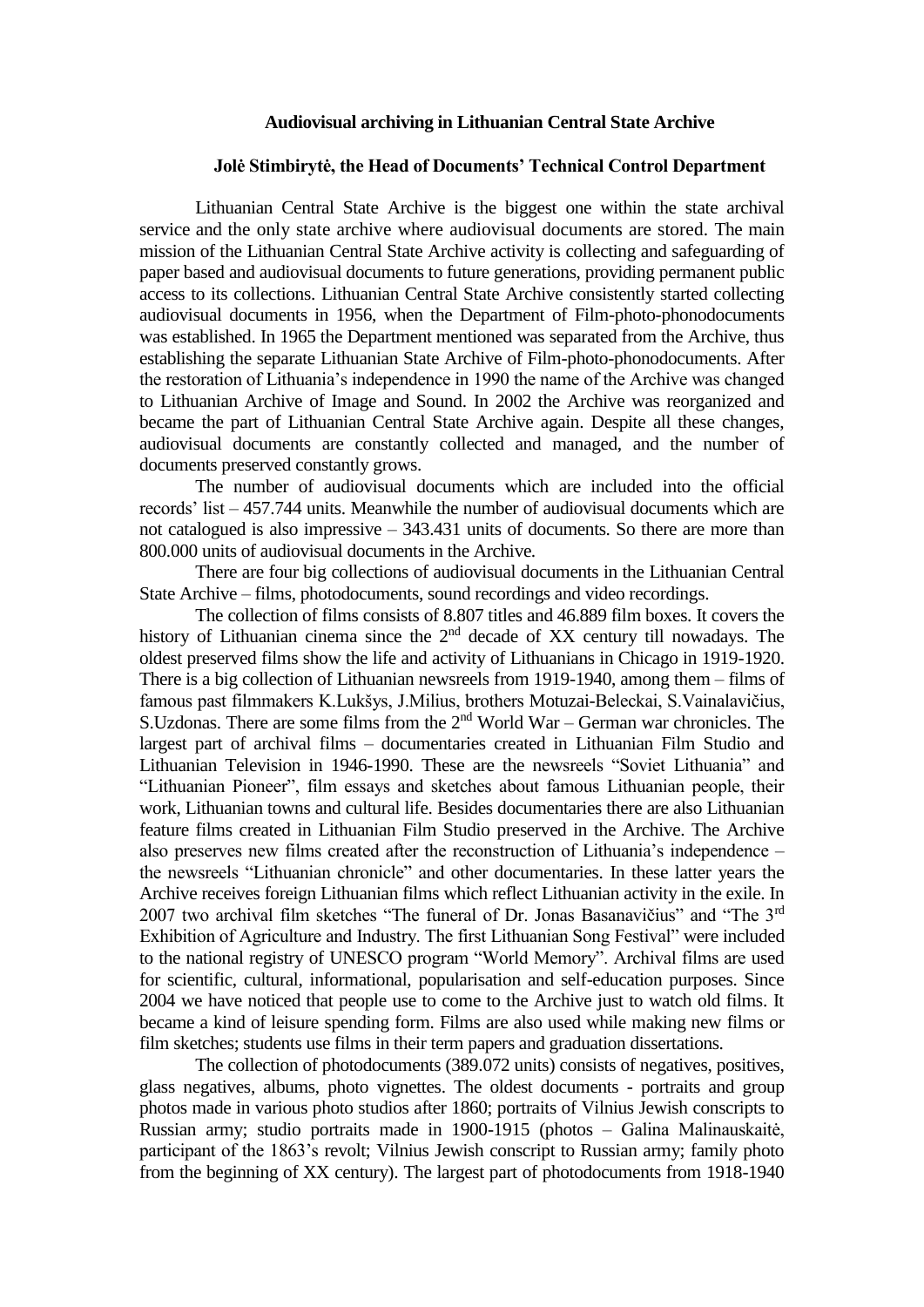## **Audiovisual archiving in Lithuanian Central State Archive**

## **Jolė Stimbirytė, the Head of Documents' Technical Control Department**

Lithuanian Central State Archive is the biggest one within the state archival service and the only state archive where audiovisual documents are stored. The main mission of the Lithuanian Central State Archive activity is collecting and safeguarding of paper based and audiovisual documents to future generations, providing permanent public access to its collections. Lithuanian Central State Archive consistently started collecting audiovisual documents in 1956, when the Department of Film-photo-phonodocuments was established. In 1965 the Department mentioned was separated from the Archive, thus establishing the separate Lithuanian State Archive of Film-photo-phonodocuments. After the restoration of Lithuania's independence in 1990 the name of the Archive was changed to Lithuanian Archive of Image and Sound. In 2002 the Archive was reorganized and became the part of Lithuanian Central State Archive again. Despite all these changes, audiovisual documents are constantly collected and managed, and the number of documents preserved constantly grows.

The number of audiovisual documents which are included into the official records' list – 457.744 units. Meanwhile the number of audiovisual documents which are not catalogued is also impressive – 343.431 units of documents. So there are more than 800.000 units of audiovisual documents in the Archive.

There are four big collections of audiovisual documents in the Lithuanian Central State Archive – films, photodocuments, sound recordings and video recordings.

The collection of films consists of 8.807 titles and 46.889 film boxes. It covers the history of Lithuanian cinema since the 2<sup>nd</sup> decade of XX century till nowadays. The oldest preserved films show the life and activity of Lithuanians in Chicago in 1919-1920. There is a big collection of Lithuanian newsreels from 1919-1940, among them – films of famous past filmmakers K.Lukšys, J.Milius, brothers Motuzai-Beleckai, S.Vainalavičius, S.Uzdonas. There are some films from the  $2<sup>nd</sup>$  World War – German war chronicles. The largest part of archival films – documentaries created in Lithuanian Film Studio and Lithuanian Television in 1946-1990. These are the newsreels "Soviet Lithuania" and "Lithuanian Pioneer", film essays and sketches about famous Lithuanian people, their work, Lithuanian towns and cultural life. Besides documentaries there are also Lithuanian feature films created in Lithuanian Film Studio preserved in the Archive. The Archive also preserves new films created after the reconstruction of Lithuania's independence – the newsreels "Lithuanian chronicle" and other documentaries. In these latter years the Archive receives foreign Lithuanian films which reflect Lithuanian activity in the exile. In 2007 two archival film sketches "The funeral of Dr. Jonas Basanavičius" and "The 3rd Exhibition of Agriculture and Industry. The first Lithuanian Song Festival" were included to the national registry of UNESCO program "World Memory". Archival films are used for scientific, cultural, informational, popularisation and self-education purposes. Since 2004 we have noticed that people use to come to the Archive just to watch old films. It became a kind of leisure spending form. Films are also used while making new films or film sketches; students use films in their term papers and graduation dissertations.

The collection of photodocuments (389.072 units) consists of negatives, positives, glass negatives, albums, photo vignettes. The oldest documents - portraits and group photos made in various photo studios after 1860; portraits of Vilnius Jewish conscripts to Russian army; studio portraits made in 1900-1915 (photos – Galina Malinauskaitė, participant of the 1863's revolt; Vilnius Jewish conscript to Russian army; family photo from the beginning of XX century). The largest part of photodocuments from 1918-1940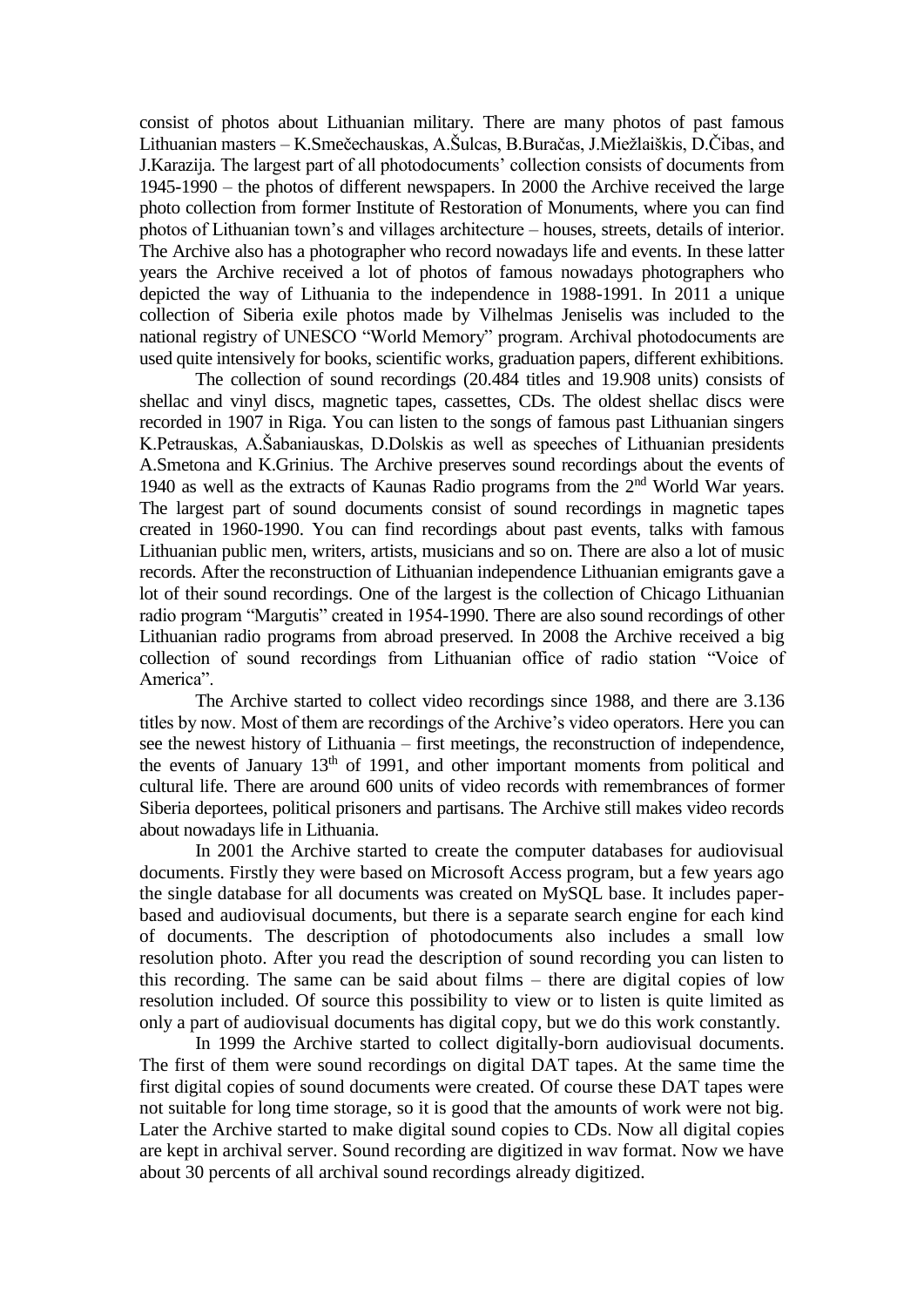consist of photos about Lithuanian military. There are many photos of past famous Lithuanian masters – K.Smečechauskas, A.Šulcas, B.Buračas, J.Miežlaiškis, D.Čibas, and J.Karazija. The largest part of all photodocuments' collection consists of documents from 1945-1990 – the photos of different newspapers. In 2000 the Archive received the large photo collection from former Institute of Restoration of Monuments, where you can find photos of Lithuanian town's and villages architecture – houses, streets, details of interior. The Archive also has a photographer who record nowadays life and events. In these latter years the Archive received a lot of photos of famous nowadays photographers who depicted the way of Lithuania to the independence in 1988-1991. In 2011 a unique collection of Siberia exile photos made by Vilhelmas Jeniselis was included to the national registry of UNESCO "World Memory" program. Archival photodocuments are used quite intensively for books, scientific works, graduation papers, different exhibitions.

The collection of sound recordings (20.484 titles and 19.908 units) consists of shellac and vinyl discs, magnetic tapes, cassettes, CDs. The oldest shellac discs were recorded in 1907 in Riga. You can listen to the songs of famous past Lithuanian singers K.Petrauskas, A.Šabaniauskas, D.Dolskis as well as speeches of Lithuanian presidents A.Smetona and K.Grinius. The Archive preserves sound recordings about the events of 1940 as well as the extracts of Kaunas Radio programs from the 2nd World War years. The largest part of sound documents consist of sound recordings in magnetic tapes created in 1960-1990. You can find recordings about past events, talks with famous Lithuanian public men, writers, artists, musicians and so on. There are also a lot of music records. After the reconstruction of Lithuanian independence Lithuanian emigrants gave a lot of their sound recordings. One of the largest is the collection of Chicago Lithuanian radio program "Margutis" created in 1954-1990. There are also sound recordings of other Lithuanian radio programs from abroad preserved. In 2008 the Archive received a big collection of sound recordings from Lithuanian office of radio station "Voice of America".

The Archive started to collect video recordings since 1988, and there are 3.136 titles by now. Most of them are recordings of the Archive's video operators. Here you can see the newest history of Lithuania – first meetings, the reconstruction of independence, the events of January  $13<sup>th</sup>$  of 1991, and other important moments from political and cultural life. There are around 600 units of video records with remembrances of former Siberia deportees, political prisoners and partisans. The Archive still makes video records about nowadays life in Lithuania.

In 2001 the Archive started to create the computer databases for audiovisual documents. Firstly they were based on Microsoft Access program, but a few years ago the single database for all documents was created on MySQL base. It includes paperbased and audiovisual documents, but there is a separate search engine for each kind of documents. The description of photodocuments also includes a small low resolution photo. After you read the description of sound recording you can listen to this recording. The same can be said about films – there are digital copies of low resolution included. Of source this possibility to view or to listen is quite limited as only a part of audiovisual documents has digital copy, but we do this work constantly.

In 1999 the Archive started to collect digitally-born audiovisual documents. The first of them were sound recordings on digital DAT tapes. At the same time the first digital copies of sound documents were created. Of course these DAT tapes were not suitable for long time storage, so it is good that the amounts of work were not big. Later the Archive started to make digital sound copies to CDs. Now all digital copies are kept in archival server. Sound recording are digitized in wav format. Now we have about 30 percents of all archival sound recordings already digitized.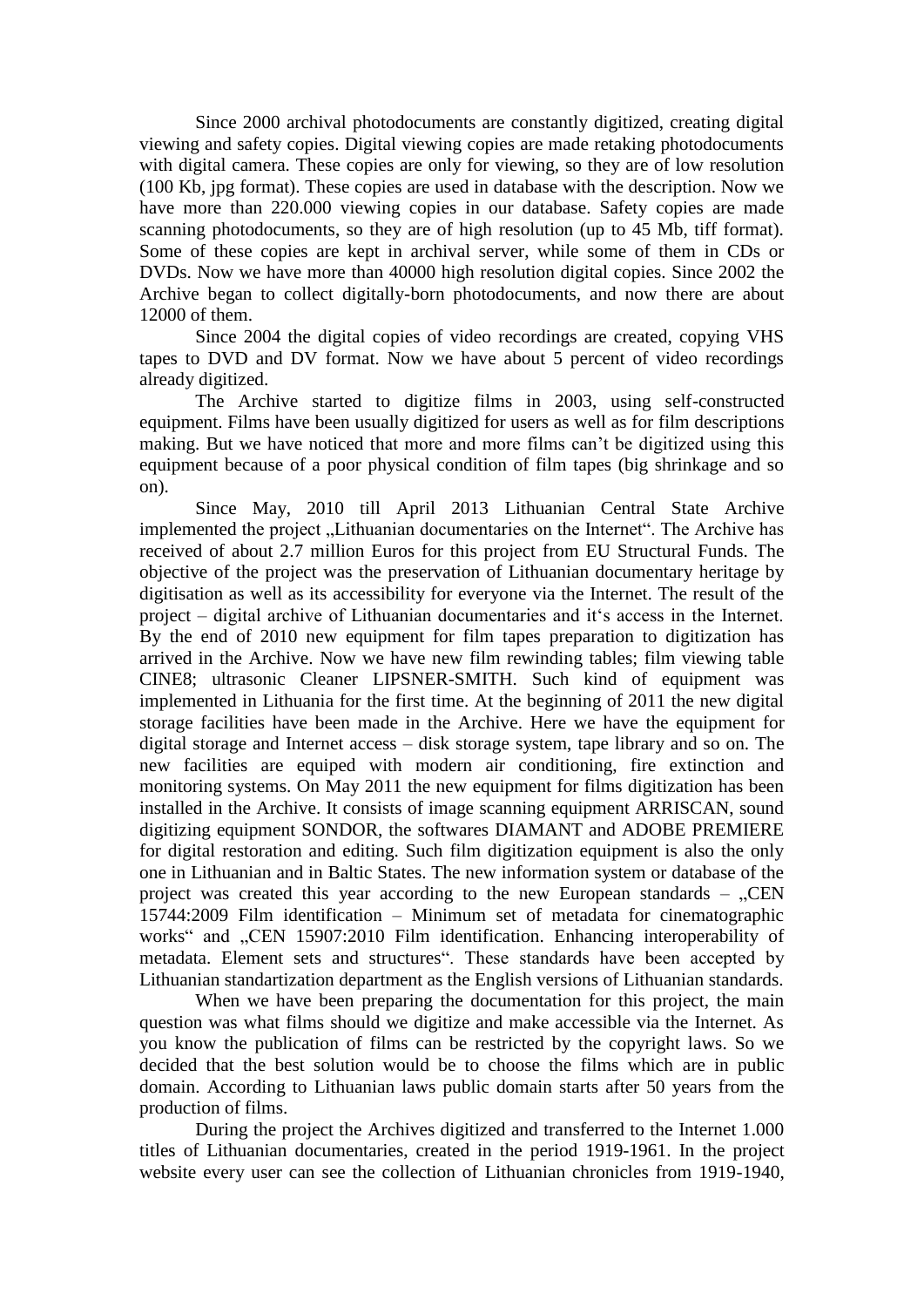Since 2000 archival photodocuments are constantly digitized, creating digital viewing and safety copies. Digital viewing copies are made retaking photodocuments with digital camera. These copies are only for viewing, so they are of low resolution (100 Kb, jpg format). These copies are used in database with the description. Now we have more than 220.000 viewing copies in our database. Safety copies are made scanning photodocuments, so they are of high resolution (up to 45 Mb, tiff format). Some of these copies are kept in archival server, while some of them in CDs or DVDs. Now we have more than 40000 high resolution digital copies. Since 2002 the Archive began to collect digitally-born photodocuments, and now there are about 12000 of them.

Since 2004 the digital copies of video recordings are created, copying VHS tapes to DVD and DV format. Now we have about 5 percent of video recordings already digitized.

The Archive started to digitize films in 2003, using self-constructed equipment. Films have been usually digitized for users as well as for film descriptions making. But we have noticed that more and more films can't be digitized using this equipment because of a poor physical condition of film tapes (big shrinkage and so on).

Since May, 2010 till April 2013 Lithuanian Central State Archive implemented the project "Lithuanian documentaries on the Internet". The Archive has received of about 2.7 million Euros for this project from EU Structural Funds. The objective of the project was the preservation of Lithuanian documentary heritage by digitisation as well as its accessibility for everyone via the Internet. The result of the project – digital archive of Lithuanian documentaries and it's access in the Internet. By the end of 2010 new equipment for film tapes preparation to digitization has arrived in the Archive. Now we have new film rewinding tables; film viewing table CINE8; ultrasonic Cleaner LIPSNER-SMITH. Such kind of equipment was implemented in Lithuania for the first time. At the beginning of 2011 the new digital storage facilities have been made in the Archive. Here we have the equipment for digital storage and Internet access – disk storage system, tape library and so on. The new facilities are equiped with modern air conditioning, fire extinction and monitoring systems. On May 2011 the new equipment for films digitization has been installed in the Archive. It consists of image scanning equipment ARRISCAN, sound digitizing equipment SONDOR, the softwares DIAMANT and ADOBE PREMIERE for digital restoration and editing. Such film digitization equipment is also the only one in Lithuanian and in Baltic States. The new information system or database of the project was created this year according to the new European standards  $-$  . CEN 15744:2009 Film identification – Minimum set of metadata for cinematographic works" and "CEN 15907:2010 Film identification. Enhancing interoperability of metadata. Element sets and structures". These standards have been accepted by Lithuanian standartization department as the English versions of Lithuanian standards.

When we have been preparing the documentation for this project, the main question was what films should we digitize and make accessible via the Internet. As you know the publication of films can be restricted by the copyright laws. So we decided that the best solution would be to choose the films which are in public domain. According to Lithuanian laws public domain starts after 50 years from the production of films.

During the project the Archives digitized and transferred to the Internet 1.000 titles of Lithuanian documentaries, created in the period 1919-1961. In the project website every user can see the collection of Lithuanian chronicles from 1919-1940,